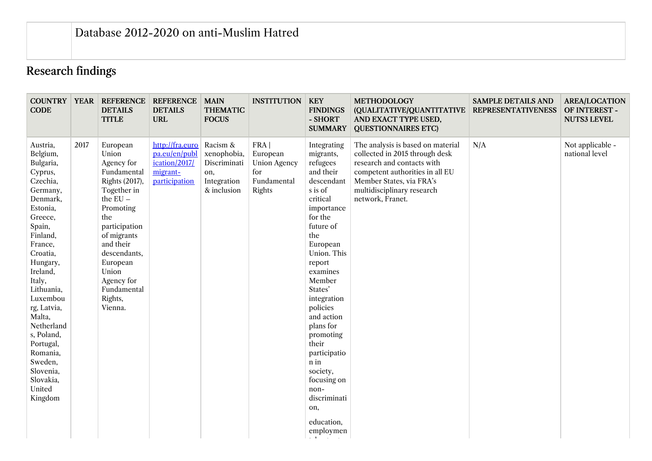## Research findings

| <b>COUNTRY</b><br><b>CODE</b>                                                                                                                                                                                                                                                                                                                            |      | <b>YEAR REFERENCE</b><br><b>DETAILS</b><br><b>TITLE</b>                                                                                                                                                                                                | <b>REFERENCE</b><br><b>DETAILS</b><br><b>URL</b>                               | <b>MAIN</b><br><b>THEMATIC</b><br><b>FOCUS</b>                               | <b>INSTITUTION</b>                                                       | <b>KEY</b><br><b>FINDINGS</b><br>- SHORT<br><b>SUMMARY</b>                                                                                                                                                                                                                                                                                                                                         | <b>METHODOLOGY</b><br>(QUALITATIVE/QUANTITATIVE<br>AND EXACT TYPE USED,<br><b>QUESTIONNAIRES ETC)</b>                                                                                                              | <b>SAMPLE DETAILS AND</b><br><b>REPRESENTATIVENESS</b> | <b>AREA/LOCATION</b><br>OF INTEREST -<br><b>NUTS3 LEVEL</b> |
|----------------------------------------------------------------------------------------------------------------------------------------------------------------------------------------------------------------------------------------------------------------------------------------------------------------------------------------------------------|------|--------------------------------------------------------------------------------------------------------------------------------------------------------------------------------------------------------------------------------------------------------|--------------------------------------------------------------------------------|------------------------------------------------------------------------------|--------------------------------------------------------------------------|----------------------------------------------------------------------------------------------------------------------------------------------------------------------------------------------------------------------------------------------------------------------------------------------------------------------------------------------------------------------------------------------------|--------------------------------------------------------------------------------------------------------------------------------------------------------------------------------------------------------------------|--------------------------------------------------------|-------------------------------------------------------------|
| Austria,<br>Belgium,<br>Bulgaria,<br>Cyprus,<br>Czechia,<br>Germany,<br>Denmark,<br>Estonia,<br>Greece,<br>Spain,<br>Finland,<br>France,<br>Croatia,<br>Hungary,<br>Ireland,<br>Italy,<br>Lithuania,<br>Luxembou<br>rg, Latvia,<br>Malta,<br>Netherland<br>s, Poland,<br>Portugal,<br>Romania,<br>Sweden,<br>Slovenia,<br>Slovakia,<br>United<br>Kingdom | 2017 | European<br>Union<br>Agency for<br>Fundamental<br>Rights (2017),<br>Together in<br>the $EU -$<br>Promoting<br>the<br>participation<br>of migrants<br>and their<br>descendants,<br>European<br>Union<br>Agency for<br>Fundamental<br>Rights,<br>Vienna. | http://fra.euro<br>pa.eu/en/publ<br>ication/2017/<br>migrant-<br>participation | Racism &<br>xenophobia,<br>Discriminati<br>on,<br>Integration<br>& inclusion | FRA  <br>European<br><b>Union Agency</b><br>for<br>Fundamental<br>Rights | Integrating<br>migrants,<br>refugees<br>and their<br>descendant<br>s is of<br>critical<br>importance<br>for the<br>future of<br>the<br>European<br>Union. This<br>report<br>examines<br>Member<br>States'<br>integration<br>policies<br>and action<br>plans for<br>promoting<br>their<br>participatio<br>n in<br>society,<br>focusing on<br>non-<br>discriminati<br>on,<br>education,<br>employmen | The analysis is based on material<br>collected in 2015 through desk<br>research and contacts with<br>competent authorities in all EU<br>Member States, via FRA's<br>multidisciplinary research<br>network, Franet. | N/A                                                    | Not applicable -<br>national level                          |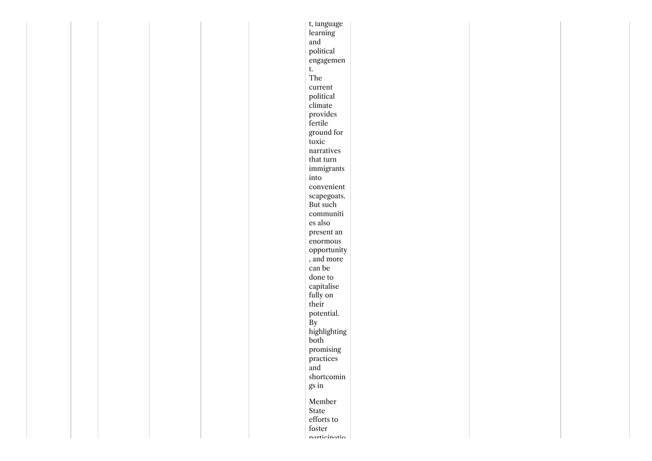|  |  | t, language            |  |  |
|--|--|------------------------|--|--|
|  |  | learning               |  |  |
|  |  | and                    |  |  |
|  |  | political              |  |  |
|  |  | engagemen              |  |  |
|  |  | t.                     |  |  |
|  |  | The                    |  |  |
|  |  | current                |  |  |
|  |  | political              |  |  |
|  |  | climate                |  |  |
|  |  | provides               |  |  |
|  |  | fertile                |  |  |
|  |  | ground for             |  |  |
|  |  | toxic                  |  |  |
|  |  | narratives             |  |  |
|  |  | that turn              |  |  |
|  |  | immigrants             |  |  |
|  |  | into                   |  |  |
|  |  | convenient             |  |  |
|  |  | scapegoats.            |  |  |
|  |  | But such               |  |  |
|  |  | communiti              |  |  |
|  |  | es also                |  |  |
|  |  | present an             |  |  |
|  |  | enormous               |  |  |
|  |  | opportunity            |  |  |
|  |  | , and more             |  |  |
|  |  | can be                 |  |  |
|  |  | done to                |  |  |
|  |  | capitalise             |  |  |
|  |  | fully on               |  |  |
|  |  | their                  |  |  |
|  |  | potential.             |  |  |
|  |  | $\mathbf{B}\mathbf{y}$ |  |  |
|  |  | highlighting           |  |  |
|  |  | both                   |  |  |
|  |  | promising              |  |  |
|  |  | practices              |  |  |
|  |  | and                    |  |  |
|  |  | shortcomin             |  |  |
|  |  | gs in                  |  |  |
|  |  | Member                 |  |  |
|  |  | State                  |  |  |
|  |  | efforts to             |  |  |
|  |  | foster                 |  |  |
|  |  | narticinatio           |  |  |